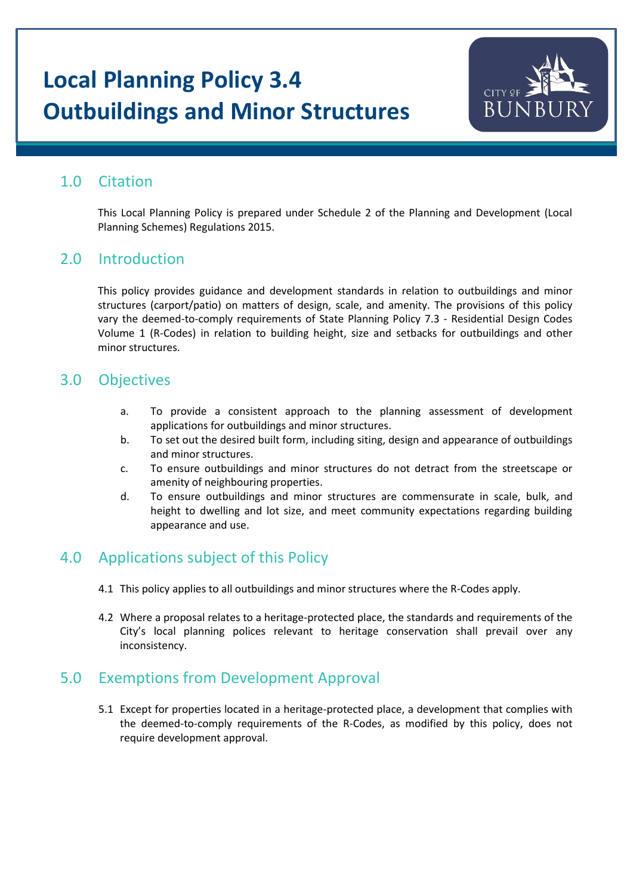# **Local Planning Policy 3.4 Outbuildings and Minor Structures**



### 1.0 Citation

This Local Planning Policy is prepared under Schedule 2 of the Planning and Development (Local Planning Schemes) Regulations 2015.

### 2.0 Introduction

This policy provides guidance and development standards in relation to outbuildings and minor structures (carport/patio) on matters of design, scale, and amenity. The provisions of this policy vary the deemed-to-comply requirements of State Planning Policy 7.3 - Residential Design Codes Volume 1 (R-Codes) in relation to building height, size and setbacks for outbuildings and other minor structures.

### 3.0 Objectives

- a. To provide a consistent approach to the planning assessment of development applications for outbuildings and minor structures.
- b. To set out the desired built form, including siting, design and appearance of outbuildings and minor structures.
- c. To ensure outbuildings and minor structures do not detract from the streetscape or amenity of neighbouring properties.
- d. To ensure outbuildings and minor structures are commensurate in scale, bulk, and height to dwelling and lot size, and meet community expectations regarding building appearance and use.

## 4.0 Applications subject of this Policy

- 4.1 This policy applies to all outbuildings and minor structures where the R-Codes apply.
- 4.2 Where a proposal relates to a heritage-protected place, the standards and requirements of the City's local planning polices relevant to heritage conservation shall prevail over any inconsistency.

## 5.0 Exemptions from Development Approval

5.1 Except for properties located in a heritage-protected place, a development that complies with the deemed-to-comply requirements of the R-Codes, as modified by this policy, does not require development approval.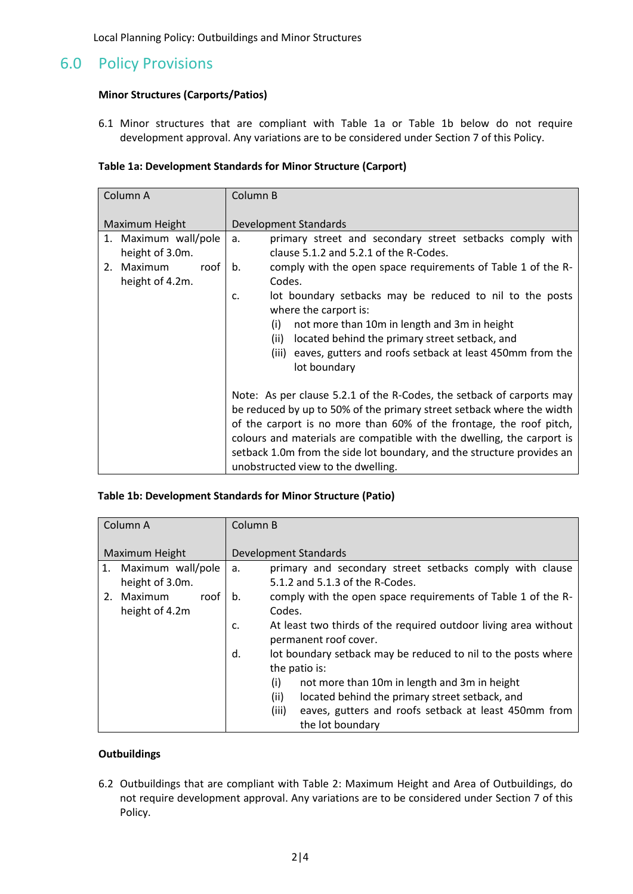Local Planning Policy: Outbuildings and Minor Structures

### 6.0 Policy Provisions

#### **Minor Structures (Carports/Patios)**

6.1 Minor structures that are compliant with Table 1a or Table 1b below do not require development approval. Any variations are to be considered under Section 7 of this Policy.

#### **Table 1a: Development Standards for Minor Structure (Carport)**

| Column A                                | Column B                                                                                                                                                                                                                                                                                                                                                                                                        |  |
|-----------------------------------------|-----------------------------------------------------------------------------------------------------------------------------------------------------------------------------------------------------------------------------------------------------------------------------------------------------------------------------------------------------------------------------------------------------------------|--|
| Maximum Height                          | <b>Development Standards</b>                                                                                                                                                                                                                                                                                                                                                                                    |  |
| 1. Maximum wall/pole<br>height of 3.0m. | primary street and secondary street setbacks comply with<br>a.<br>clause 5.1.2 and 5.2.1 of the R-Codes.                                                                                                                                                                                                                                                                                                        |  |
| 2. Maximum<br>roof<br>height of 4.2m.   | comply with the open space requirements of Table 1 of the R-<br>b.<br>Codes.                                                                                                                                                                                                                                                                                                                                    |  |
|                                         | lot boundary setbacks may be reduced to nil to the posts<br>c.<br>where the carport is:                                                                                                                                                                                                                                                                                                                         |  |
|                                         | not more than 10m in length and 3m in height<br>(i)<br>located behind the primary street setback, and<br>(ii)<br>(iii) eaves, gutters and roofs setback at least 450mm from the<br>lot boundary                                                                                                                                                                                                                 |  |
|                                         | Note: As per clause 5.2.1 of the R-Codes, the setback of carports may<br>be reduced by up to 50% of the primary street setback where the width<br>of the carport is no more than 60% of the frontage, the roof pitch,<br>colours and materials are compatible with the dwelling, the carport is<br>setback 1.0m from the side lot boundary, and the structure provides an<br>unobstructed view to the dwelling. |  |

#### **Table 1b: Development Standards for Minor Structure (Patio)**

| Column A             | Column B                                                              |  |  |  |
|----------------------|-----------------------------------------------------------------------|--|--|--|
|                      |                                                                       |  |  |  |
| Maximum Height       | <b>Development Standards</b>                                          |  |  |  |
| 1. Maximum wall/pole | primary and secondary street setbacks comply with clause<br>a.        |  |  |  |
| height of 3.0m.      | 5.1.2 and 5.1.3 of the R-Codes.                                       |  |  |  |
| 2. Maximum<br>roof   | comply with the open space requirements of Table 1 of the R-<br>b.    |  |  |  |
| height of 4.2m       | Codes.                                                                |  |  |  |
|                      | At least two thirds of the required outdoor living area without<br>c. |  |  |  |
|                      | permanent roof cover.                                                 |  |  |  |
|                      | d.<br>lot boundary setback may be reduced to nil to the posts where   |  |  |  |
|                      | the patio is:                                                         |  |  |  |
|                      | not more than 10m in length and 3m in height<br>(i)                   |  |  |  |
|                      | (ii)<br>located behind the primary street setback, and                |  |  |  |
|                      | (iii)<br>eaves, gutters and roofs setback at least 450mm from         |  |  |  |
|                      | the lot boundary                                                      |  |  |  |

#### **Outbuildings**

6.2 Outbuildings that are compliant with Table 2: Maximum Height and Area of Outbuildings, do not require development approval. Any variations are to be considered under Section 7 of this Policy.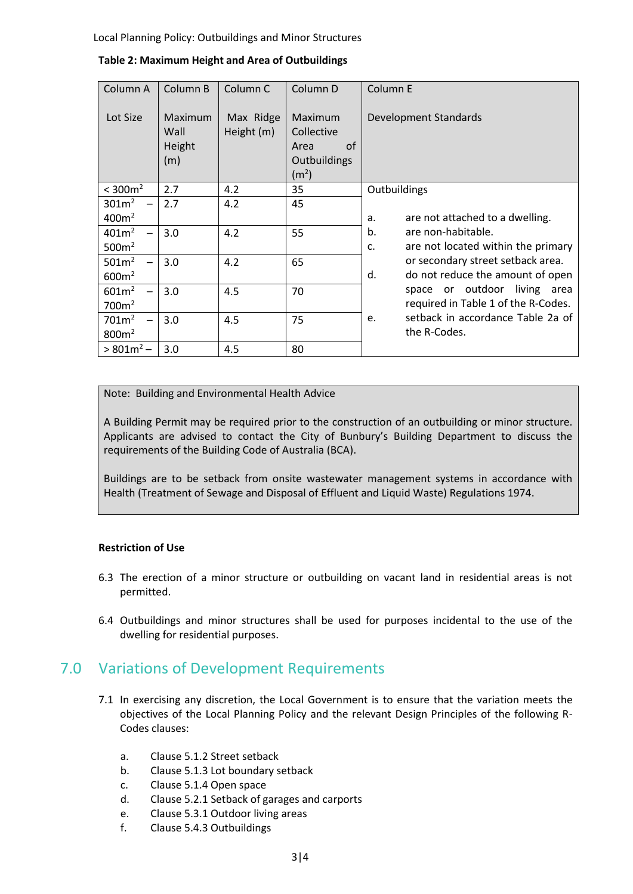Local Planning Policy: Outbuildings and Minor Structures

| Column A          | Column B                         | Column <sub>C</sub>     | Column D                                                                 | Column E                                 |
|-------------------|----------------------------------|-------------------------|--------------------------------------------------------------------------|------------------------------------------|
| Lot Size          | Maximum<br>Wall<br>Height<br>(m) | Max Ridge<br>Height (m) | Maximum<br>Collective<br>of<br>Area<br>Outbuildings<br>(m <sup>2</sup> ) | Development Standards                    |
| $<$ 300 $m2$      | 2.7                              | 4.2                     | 35                                                                       | Outbuildings                             |
| 301m <sup>2</sup> | 2.7                              | 4.2                     | 45                                                                       |                                          |
| 400m <sup>2</sup> |                                  |                         |                                                                          | are not attached to a dwelling.<br>a.    |
| 401m <sup>2</sup> | 3.0                              | 4.2                     | 55                                                                       | b.<br>are non-habitable.                 |
| 500m <sup>2</sup> |                                  |                         |                                                                          | are not located within the primary<br>c. |
| 501m <sup>2</sup> | 3.0                              | 4.2                     | 65                                                                       | or secondary street setback area.        |
| 600m <sup>2</sup> |                                  |                         |                                                                          | d.<br>do not reduce the amount of open   |
| 601 <sup>2</sup>  | 3.0                              | 4.5                     | 70                                                                       | space or outdoor living<br>area          |
| 700m <sup>2</sup> |                                  |                         |                                                                          | required in Table 1 of the R-Codes.      |
| 701m <sup>2</sup> | 3.0                              | 4.5                     | 75                                                                       | setback in accordance Table 2a of<br>e.  |
| 800 <sup>2</sup>  |                                  |                         |                                                                          | the R-Codes.                             |
| $> 801m^2 -$      | 3.0                              | 4.5                     | 80                                                                       |                                          |

**Table 2: Maximum Height and Area of Outbuildings**

Note: Building and Environmental Health Advice

A Building Permit may be required prior to the construction of an outbuilding or minor structure. Applicants are advised to contact the City of Bunbury's Building Department to discuss the requirements of the Building Code of Australia (BCA).

Buildings are to be setback from onsite wastewater management systems in accordance with Health (Treatment of Sewage and Disposal of Effluent and Liquid Waste) Regulations 1974.

#### **Restriction of Use**

- 6.3 The erection of a minor structure or outbuilding on vacant land in residential areas is not permitted.
- 6.4 Outbuildings and minor structures shall be used for purposes incidental to the use of the dwelling for residential purposes.

### 7.0 Variations of Development Requirements

- 7.1 In exercising any discretion, the Local Government is to ensure that the variation meets the objectives of the Local Planning Policy and the relevant Design Principles of the following R-Codes clauses:
	- a. Clause 5.1.2 Street setback
	- b. Clause 5.1.3 Lot boundary setback
	- c. Clause 5.1.4 Open space
	- d. Clause 5.2.1 Setback of garages and carports
	- e. Clause 5.3.1 Outdoor living areas
	- f. Clause 5.4.3 Outbuildings